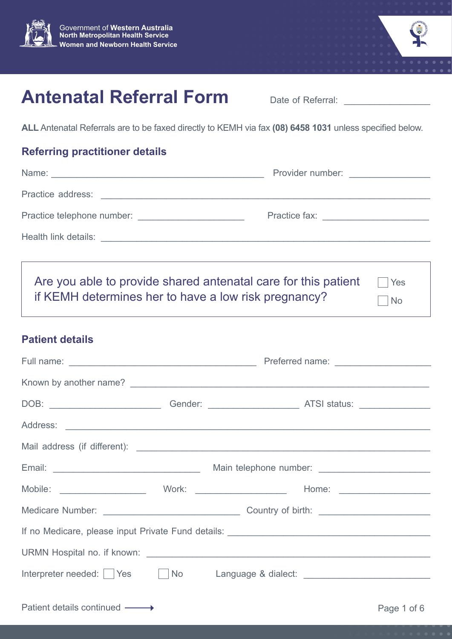



No

# **Antenatal Referral Form**

Date of Referral:

**ALL** Antenatal Referrals are to be faxed directly to KEMH via fax **(08) 6458 1031** unless specified below.

## **Referring practitioner details**

| Name: Name:                                                    | Provider number:<br>The Contract of Contract of Contract of Contract of Contract of Contract of Contract of Contract of Contract of Contract of Contract of Contract of Contract of Contract of Contract of Contract of Contract |
|----------------------------------------------------------------|----------------------------------------------------------------------------------------------------------------------------------------------------------------------------------------------------------------------------------|
|                                                                |                                                                                                                                                                                                                                  |
|                                                                |                                                                                                                                                                                                                                  |
|                                                                |                                                                                                                                                                                                                                  |
|                                                                |                                                                                                                                                                                                                                  |
| Are you able to provide shared antenatal care for this patient | Yes                                                                                                                                                                                                                              |

if KEMH determines her to have a low risk pregnancy?

## **Patient details**

| Interpreter needed: Yes Mo Language & dialect: _________________________________ |  |             |
|----------------------------------------------------------------------------------|--|-------------|
| Patient details continued –––→                                                   |  | Page 1 of 6 |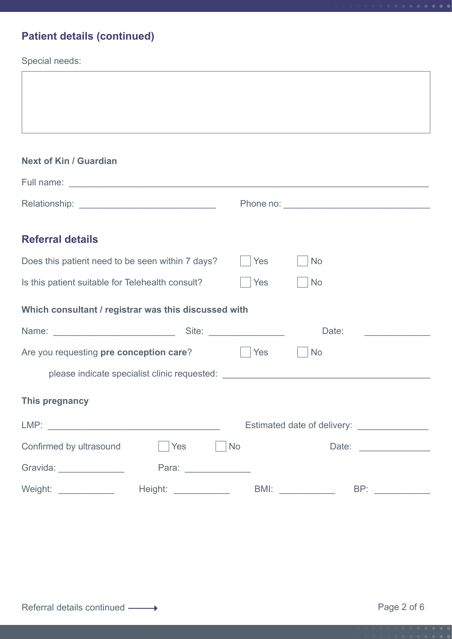## **Patient details (continued)**

Special needs:

Г

| <b>Next of Kin / Guardian</b>                               |                                                                                                                                                                                                                                      |                      |                                                                                                                                                                                                                                |                                             |
|-------------------------------------------------------------|--------------------------------------------------------------------------------------------------------------------------------------------------------------------------------------------------------------------------------------|----------------------|--------------------------------------------------------------------------------------------------------------------------------------------------------------------------------------------------------------------------------|---------------------------------------------|
|                                                             |                                                                                                                                                                                                                                      |                      |                                                                                                                                                                                                                                |                                             |
|                                                             |                                                                                                                                                                                                                                      |                      |                                                                                                                                                                                                                                |                                             |
| <b>Referral details</b>                                     |                                                                                                                                                                                                                                      |                      |                                                                                                                                                                                                                                |                                             |
|                                                             |                                                                                                                                                                                                                                      |                      |                                                                                                                                                                                                                                |                                             |
| Does this patient need to be seen within 7 days?            |                                                                                                                                                                                                                                      | Yes                  | No                                                                                                                                                                                                                             |                                             |
| Is this patient suitable for Telehealth consult?            |                                                                                                                                                                                                                                      | Yes                  | No                                                                                                                                                                                                                             |                                             |
| Which consultant / registrar was this discussed with        |                                                                                                                                                                                                                                      |                      |                                                                                                                                                                                                                                |                                             |
|                                                             |                                                                                                                                                                                                                                      | Site: New York Site: | Date:                                                                                                                                                                                                                          |                                             |
| Are you requesting pre conception care?<br>Yes<br><b>No</b> |                                                                                                                                                                                                                                      |                      |                                                                                                                                                                                                                                |                                             |
|                                                             | please indicate specialist clinic requested: <b>with a set of the control of the set of the control of the control of the control of the control of the control of the control of the control of the control of the control of t</b> |                      |                                                                                                                                                                                                                                |                                             |
| This pregnancy                                              |                                                                                                                                                                                                                                      |                      |                                                                                                                                                                                                                                |                                             |
|                                                             |                                                                                                                                                                                                                                      |                      |                                                                                                                                                                                                                                | Estimated date of delivery: _______________ |
| Confirmed by ultrasound                                     | Yes                                                                                                                                                                                                                                  | No                   |                                                                                                                                                                                                                                |                                             |
| Gravida: ________________                                   |                                                                                                                                                                                                                                      |                      |                                                                                                                                                                                                                                |                                             |
| Weight: Weight:                                             |                                                                                                                                                                                                                                      |                      | BMI: and the state of the state of the state of the state of the state of the state of the state of the state of the state of the state of the state of the state of the state of the state of the state of the state of the s | BP:                                         |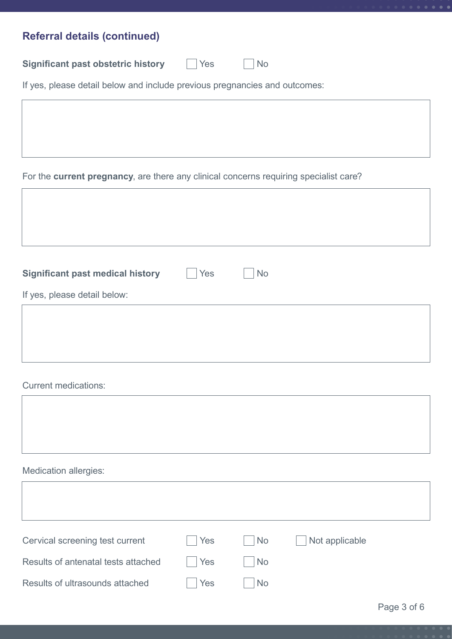| <b>Referral details (continued)</b>                                                   |
|---------------------------------------------------------------------------------------|
|                                                                                       |
| <b>Significant past obstetric history</b><br>Yes<br><b>No</b>                         |
| If yes, please detail below and include previous pregnancies and outcomes:            |
|                                                                                       |
|                                                                                       |
|                                                                                       |
|                                                                                       |
| For the current pregnancy, are there any clinical concerns requiring specialist care? |
|                                                                                       |
|                                                                                       |
|                                                                                       |
|                                                                                       |
| <b>Significant past medical history</b><br>Yes<br><b>No</b>                           |
| If yes, please detail below:                                                          |
|                                                                                       |
|                                                                                       |

### Current medications:

## Medication allergies:

| Cervical screening test current     | Yes | No        | Not applicable |
|-------------------------------------|-----|-----------|----------------|
| Results of antenatal tests attached | Yes | <b>No</b> |                |
| Results of ultrasounds attached     | Yes | <b>No</b> |                |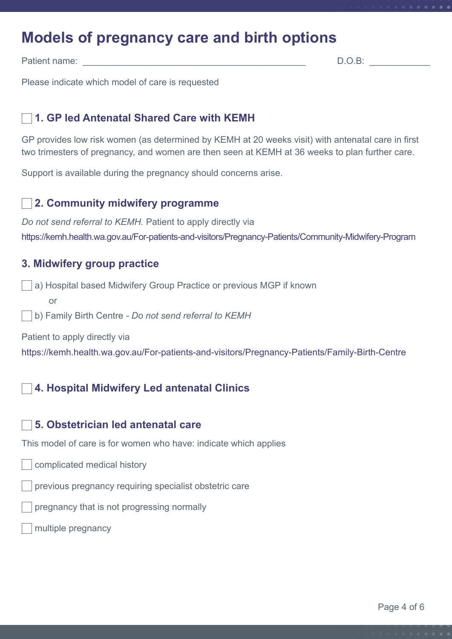## **Models of pregnancy care and birth options**

Patient name: \_\_\_\_\_\_\_\_\_\_\_\_\_\_\_\_\_\_\_\_\_\_\_\_\_\_\_\_\_\_\_\_\_\_\_\_\_\_\_\_\_\_\_\_ D.O.B: \_\_\_\_\_\_\_\_\_\_\_\_

Please indicate which model of care is requested

#### **1. GP led Antenatal Shared Care with KEMH**

GP provides low risk women (as determined by KEMH at 20 weeks visit) with antenatal care in first two trimesters of pregnancy, and women are then seen at KEMH at 36 weeks to plan further care.

Support is available during the pregnancy should concerns arise.

#### **2. Community midwifery programme**

*Do not send referral to KEMH.* Patient to apply directly via https://kemh[.health.wa.gov.au/For-patients-and-visitors/Pregnancy-Patients/Community-Midwifery-Program](https://kemh.health.wa.gov.au/For-patients-and-visitors/Pregnancy-Patients/Community-Midwifery-Progr)

### **3. Midwifery group practice**

a) Hospital based Midwifery Group Practice or previous MGP if known

or

b) Family Birth Centre *- Do not send referral to KEMH*

Patient to apply directly via

<https://kemh.health.wa.gov.au/For-patients-and-visitors/Pregnancy-Patients/Family-Birth-Centre>

#### **4. Hospital Midwifery Led antenatal Clinics**

#### **5. Obstetrician led antenatal care**

This model of care is for women who have: indicate which applies

- complicated medical history
- previous pregnancy requiring specialist obstetric care
- pregnancy that is not progressing normally
- multiple pregnancy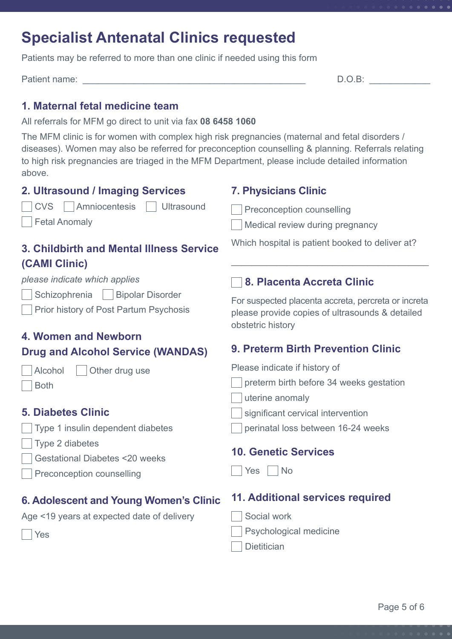## **Specialist Antenatal Clinics requested**

Patients may be referred to more than one clinic if needed using this form

Patient name: \_\_\_\_\_\_\_\_\_\_\_\_\_\_\_\_\_\_\_\_\_\_\_\_\_\_\_\_\_\_\_\_\_\_\_\_\_\_\_\_\_\_\_\_ D.O.B: \_\_\_\_\_\_\_\_\_\_\_\_

## **1. Maternal fetal medicine team**

All referrals for MFM go direct to unit via fax **08 6458 1060**

The MFM clinic is for women with complex high risk pregnancies (maternal and fetal disorders / diseases). Women may also be referred for preconception counselling & planning. Referrals relating to high risk pregnancies are triaged in the MFM Department, please include detailed information above.

| 2. Ultrasound / Imaging Services                                                   | <b>7. Physicians Clinic</b>                                                                                                 |
|------------------------------------------------------------------------------------|-----------------------------------------------------------------------------------------------------------------------------|
| Amniocentesis<br>Ultrasound<br><b>CVS</b>                                          | Preconception counselling                                                                                                   |
| <b>Fetal Anomaly</b>                                                               | Medical review during pregnancy                                                                                             |
| 3. Childbirth and Mental Illness Service                                           | Which hospital is patient booked to deliver at?                                                                             |
| (CAMI Clinic)                                                                      |                                                                                                                             |
| please indicate which applies                                                      | 8. Placenta Accreta Clinic                                                                                                  |
| Schizophrenia<br><b>Bipolar Disorder</b><br>Prior history of Post Partum Psychosis | For suspected placenta accreta, percreta or increta<br>please provide copies of ultrasounds & detailed<br>obstetric history |
| 4. Women and Newborn                                                               |                                                                                                                             |
| <b>Drug and Alcohol Service (WANDAS)</b>                                           | <b>9. Preterm Birth Prevention Clinic</b>                                                                                   |
| Other drug use<br>Alcohol                                                          | Please indicate if history of                                                                                               |
| <b>Both</b>                                                                        | preterm birth before 34 weeks gestation                                                                                     |
|                                                                                    | uterine anomaly                                                                                                             |
| <b>5. Diabetes Clinic</b>                                                          | significant cervical intervention                                                                                           |
| Type 1 insulin dependent diabetes                                                  | perinatal loss between 16-24 weeks                                                                                          |
| Type 2 diabetes                                                                    | <b>10. Genetic Services</b>                                                                                                 |
| <b>Gestational Diabetes &lt;20 weeks</b>                                           |                                                                                                                             |
| Preconception counselling                                                          | <b>No</b><br>Yes                                                                                                            |
| 6. Adolescent and Young Women's Clinic                                             | 11. Additional services required                                                                                            |
| Age <19 years at expected date of delivery                                         | Social work                                                                                                                 |
| Yes                                                                                | Psychological medicine                                                                                                      |
|                                                                                    | <b>Dietitician</b>                                                                                                          |